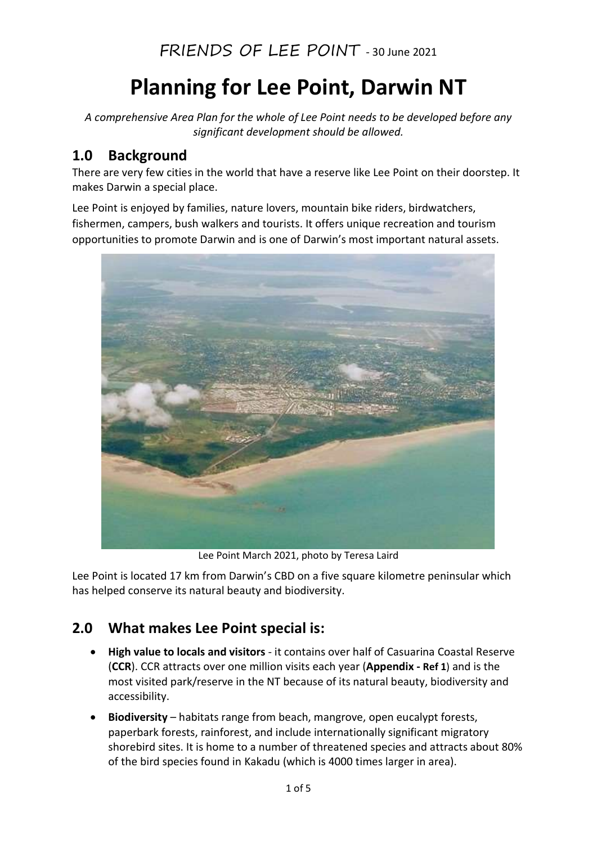# Planning for Lee Point, Darwin NT

A comprehensive Area Plan for the whole of Lee Point needs to be developed before any significant development should be allowed.

### 1.0 Background

There are very few cities in the world that have a reserve like Lee Point on their doorstep. It makes Darwin a special place.

Lee Point is enjoyed by families, nature lovers, mountain bike riders, birdwatchers, fishermen, campers, bush walkers and tourists. It offers unique recreation and tourism opportunities to promote Darwin and is one of Darwin's most important natural assets.



Lee Point March 2021, photo by Teresa Laird

Lee Point is located 17 km from Darwin's CBD on a five square kilometre peninsular which has helped conserve its natural beauty and biodiversity.

## 2.0 What makes Lee Point special is:

- High value to locals and visitors it contains over half of Casuarina Coastal Reserve (CCR). CCR attracts over one million visits each year (Appendix - Ref 1) and is the most visited park/reserve in the NT because of its natural beauty, biodiversity and accessibility.
- Biodiversity habitats range from beach, mangrove, open eucalypt forests, paperbark forests, rainforest, and include internationally significant migratory shorebird sites. It is home to a number of threatened species and attracts about 80% of the bird species found in Kakadu (which is 4000 times larger in area).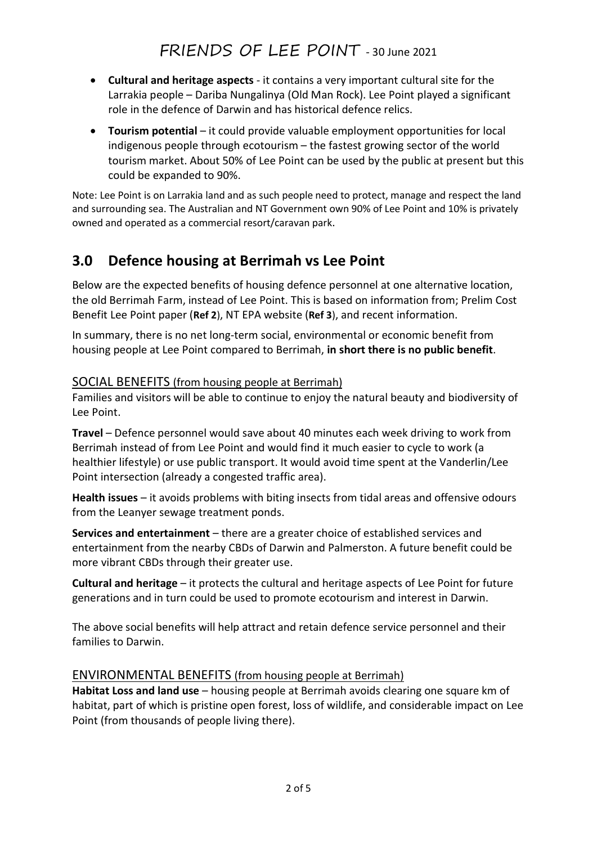- Cultural and heritage aspects it contains a very important cultural site for the Larrakia people – Dariba Nungalinya (Old Man Rock). Lee Point played a significant role in the defence of Darwin and has historical defence relics.
- Tourism potential it could provide valuable employment opportunities for local indigenous people through ecotourism – the fastest growing sector of the world tourism market. About 50% of Lee Point can be used by the public at present but this could be expanded to 90%.

Note: Lee Point is on Larrakia land and as such people need to protect, manage and respect the land and surrounding sea. The Australian and NT Government own 90% of Lee Point and 10% is privately owned and operated as a commercial resort/caravan park.

## 3.0 Defence housing at Berrimah vs Lee Point

Below are the expected benefits of housing defence personnel at one alternative location, the old Berrimah Farm, instead of Lee Point. This is based on information from; Prelim Cost Benefit Lee Point paper (Ref 2), NT EPA website (Ref 3), and recent information.

In summary, there is no net long-term social, environmental or economic benefit from housing people at Lee Point compared to Berrimah, in short there is no public benefit.

#### SOCIAL BENEFITS (from housing people at Berrimah)

Families and visitors will be able to continue to enjoy the natural beauty and biodiversity of Lee Point.

Travel – Defence personnel would save about 40 minutes each week driving to work from Berrimah instead of from Lee Point and would find it much easier to cycle to work (a healthier lifestyle) or use public transport. It would avoid time spent at the Vanderlin/Lee Point intersection (already a congested traffic area).

Health issues – it avoids problems with biting insects from tidal areas and offensive odours from the Leanyer sewage treatment ponds.

Services and entertainment – there are a greater choice of established services and entertainment from the nearby CBDs of Darwin and Palmerston. A future benefit could be more vibrant CBDs through their greater use.

Cultural and heritage – it protects the cultural and heritage aspects of Lee Point for future generations and in turn could be used to promote ecotourism and interest in Darwin.

The above social benefits will help attract and retain defence service personnel and their families to Darwin.

#### ENVIRONMENTAL BENEFITS (from housing people at Berrimah)

Habitat Loss and land use – housing people at Berrimah avoids clearing one square km of habitat, part of which is pristine open forest, loss of wildlife, and considerable impact on Lee Point (from thousands of people living there).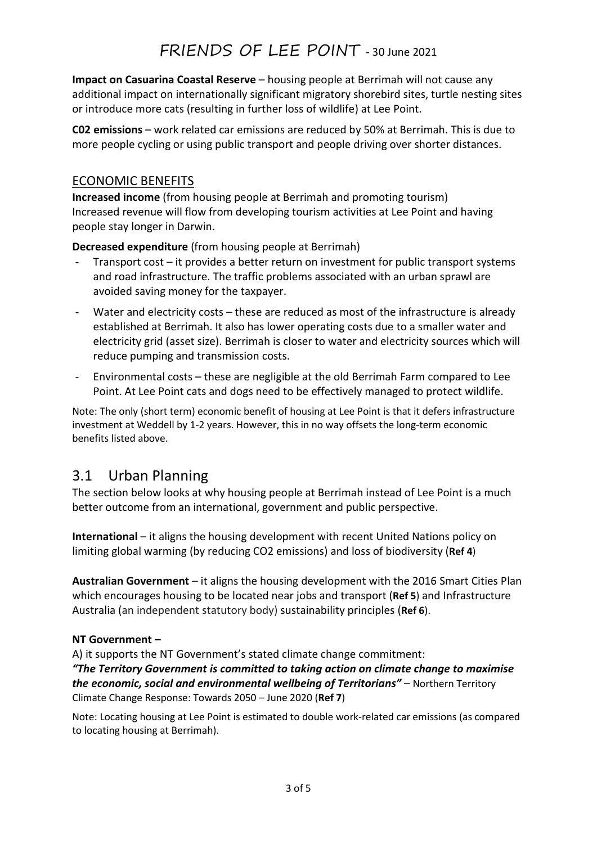Impact on Casuarina Coastal Reserve – housing people at Berrimah will not cause any additional impact on internationally significant migratory shorebird sites, turtle nesting sites or introduce more cats (resulting in further loss of wildlife) at Lee Point.

C02 emissions – work related car emissions are reduced by 50% at Berrimah. This is due to more people cycling or using public transport and people driving over shorter distances.

#### ECONOMIC BENEFITS

Increased income (from housing people at Berrimah and promoting tourism) Increased revenue will flow from developing tourism activities at Lee Point and having people stay longer in Darwin.

Decreased expenditure (from housing people at Berrimah)

- Transport cost it provides a better return on investment for public transport systems and road infrastructure. The traffic problems associated with an urban sprawl are avoided saving money for the taxpayer.
- Water and electricity costs these are reduced as most of the infrastructure is already established at Berrimah. It also has lower operating costs due to a smaller water and electricity grid (asset size). Berrimah is closer to water and electricity sources which will reduce pumping and transmission costs.
- Environmental costs these are negligible at the old Berrimah Farm compared to Lee Point. At Lee Point cats and dogs need to be effectively managed to protect wildlife.

Note: The only (short term) economic benefit of housing at Lee Point is that it defers infrastructure investment at Weddell by 1-2 years. However, this in no way offsets the long-term economic benefits listed above.

## 3.1 Urban Planning

The section below looks at why housing people at Berrimah instead of Lee Point is a much better outcome from an international, government and public perspective.

International – it aligns the housing development with recent United Nations policy on limiting global warming (by reducing CO2 emissions) and loss of biodiversity (Ref 4)

Australian Government – it aligns the housing development with the 2016 Smart Cities Plan which encourages housing to be located near jobs and transport (Ref 5) and Infrastructure Australia (an independent statutory body) sustainability principles (Ref 6).

#### NT Government –

A) it supports the NT Government's stated climate change commitment: "The Territory Government is committed to taking action on climate change to maximise the economic, social and environmental wellbeing of Territorians" – Northern Territory Climate Change Response: Towards 2050 – June 2020 (Ref 7)

Note: Locating housing at Lee Point is estimated to double work-related car emissions (as compared to locating housing at Berrimah).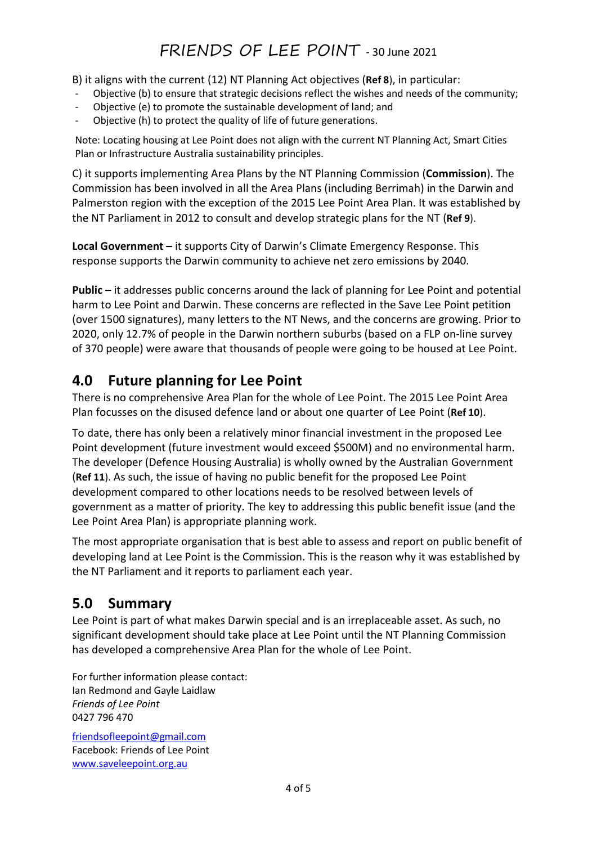B) it aligns with the current (12) NT Planning Act objectives (Ref 8), in particular:

- Objective (b) to ensure that strategic decisions reflect the wishes and needs of the community;
- Objective (e) to promote the sustainable development of land; and
- Objective (h) to protect the quality of life of future generations.

Note: Locating housing at Lee Point does not align with the current NT Planning Act, Smart Cities Plan or Infrastructure Australia sustainability principles.

C) it supports implementing Area Plans by the NT Planning Commission (Commission). The Commission has been involved in all the Area Plans (including Berrimah) in the Darwin and Palmerston region with the exception of the 2015 Lee Point Area Plan. It was established by the NT Parliament in 2012 to consult and develop strategic plans for the NT (Ref 9).

Local Government – it supports City of Darwin's Climate Emergency Response. This response supports the Darwin community to achieve net zero emissions by 2040.

Public – it addresses public concerns around the lack of planning for Lee Point and potential harm to Lee Point and Darwin. These concerns are reflected in the Save Lee Point petition (over 1500 signatures), many letters to the NT News, and the concerns are growing. Prior to 2020, only 12.7% of people in the Darwin northern suburbs (based on a FLP on-line survey of 370 people) were aware that thousands of people were going to be housed at Lee Point.

### 4.0 Future planning for Lee Point

There is no comprehensive Area Plan for the whole of Lee Point. The 2015 Lee Point Area Plan focusses on the disused defence land or about one quarter of Lee Point (Ref 10).

To date, there has only been a relatively minor financial investment in the proposed Lee Point development (future investment would exceed \$500M) and no environmental harm. The developer (Defence Housing Australia) is wholly owned by the Australian Government (Ref 11). As such, the issue of having no public benefit for the proposed Lee Point development compared to other locations needs to be resolved between levels of government as a matter of priority. The key to addressing this public benefit issue (and the Lee Point Area Plan) is appropriate planning work.

The most appropriate organisation that is best able to assess and report on public benefit of developing land at Lee Point is the Commission. This is the reason why it was established by the NT Parliament and it reports to parliament each year.

## 5.0 Summary

Lee Point is part of what makes Darwin special and is an irreplaceable asset. As such, no significant development should take place at Lee Point until the NT Planning Commission has developed a comprehensive Area Plan for the whole of Lee Point.

For further information please contact: Ian Redmond and Gayle Laidlaw Friends of Lee Point 0427 796 470

friendsofleepoint@gmail.com Facebook: Friends of Lee Point www.saveleepoint.org.au